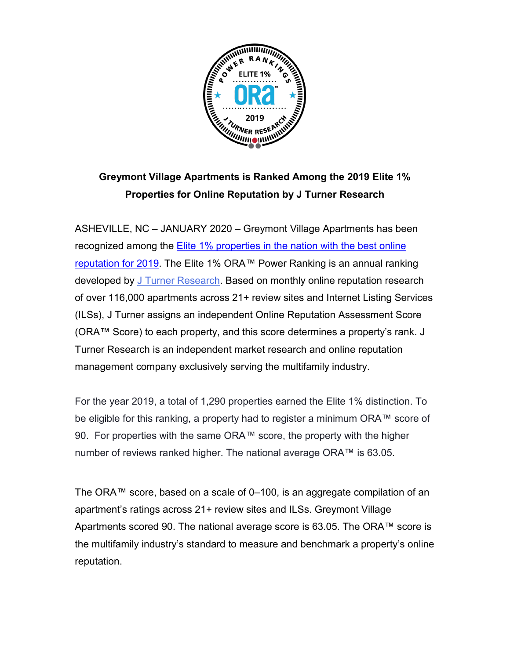

## **Greymont Village Apartments is Ranked Among the 2019 Elite 1% Properties for Online Reputation by J Turner Research**

ASHEVILLE, NC – JANUARY 2020 – Greymont Village Apartments has been recognized among the [Elite 1% properties in the nation with the best online](https://www.multifamilyexecutive.com/property-management/the-elite-1-properties-by-ora-for-2019_o)  [reputation for 2019.](https://www.multifamilyexecutive.com/property-management/the-elite-1-properties-by-ora-for-2019_o) The Elite 1% ORA™ Power Ranking is an annual ranking developed by [J Turner Research.](https://www.jturnerresearch.com/) Based on monthly online reputation research of over 116,000 apartments across 21+ review sites and Internet Listing Services (ILSs), J Turner assigns an independent Online Reputation Assessment Score (ORA™ Score) to each property, and this score determines a property's rank. J Turner Research is an independent market research and online reputation management company exclusively serving the multifamily industry.

For the year 2019, a total of 1,290 properties earned the Elite 1% distinction. To be eligible for this ranking, a property had to register a minimum ORA™ score of 90. For properties with the same ORA™ score, the property with the higher number of reviews ranked higher. The national average ORA™ is 63.05.

The ORA™ score, based on a scale of 0–100, is an aggregate compilation of an apartment's ratings across 21+ review sites and ILSs. Greymont Village Apartments scored 90. The national average score is 63.05. The ORA™ score is the multifamily industry's standard to measure and benchmark a property's online reputation.